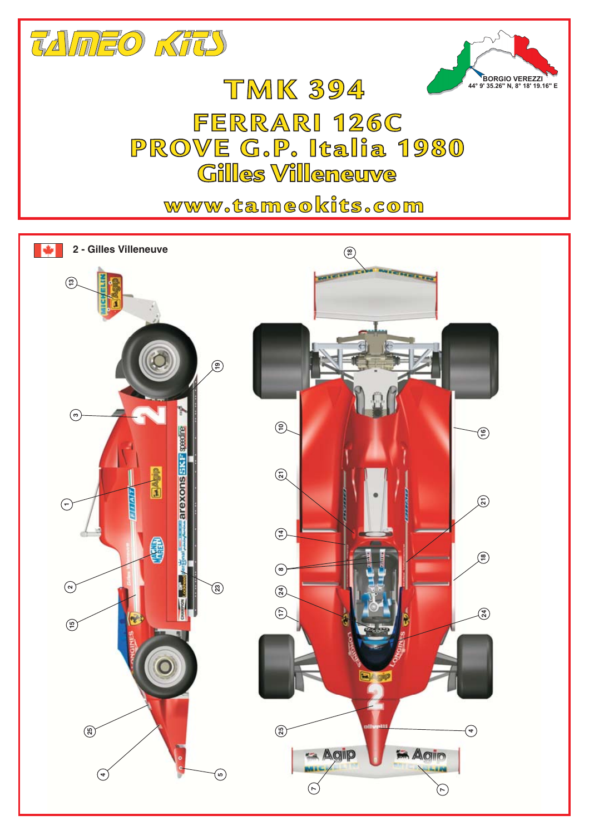

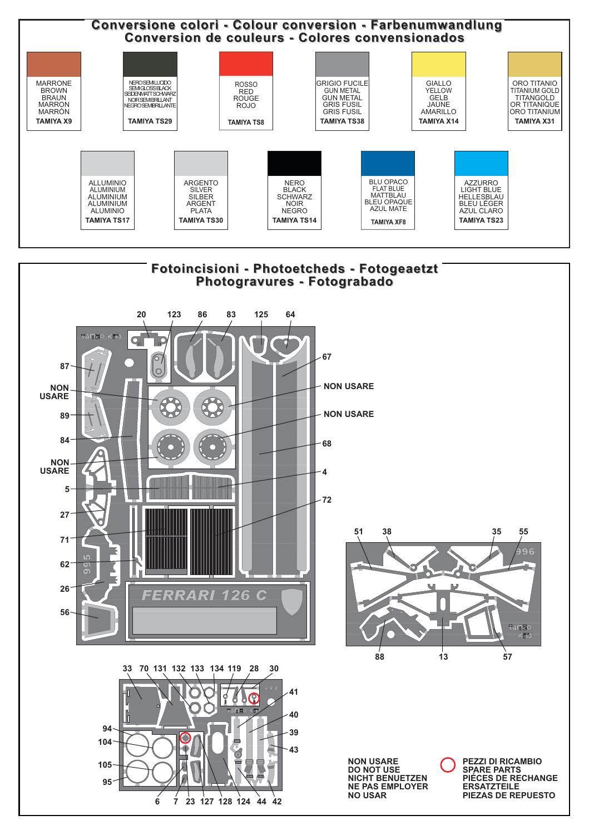



**NON USARE DO NOT USE NICHT BENUETZEN NE PAS EMPLOYER NO USAR** 

**PEZZI DI RICAMBIO SPARE PARTS** PIÉCES DE RECHANGE **ERSATZTEILE** PIEZAS DE REPUESTO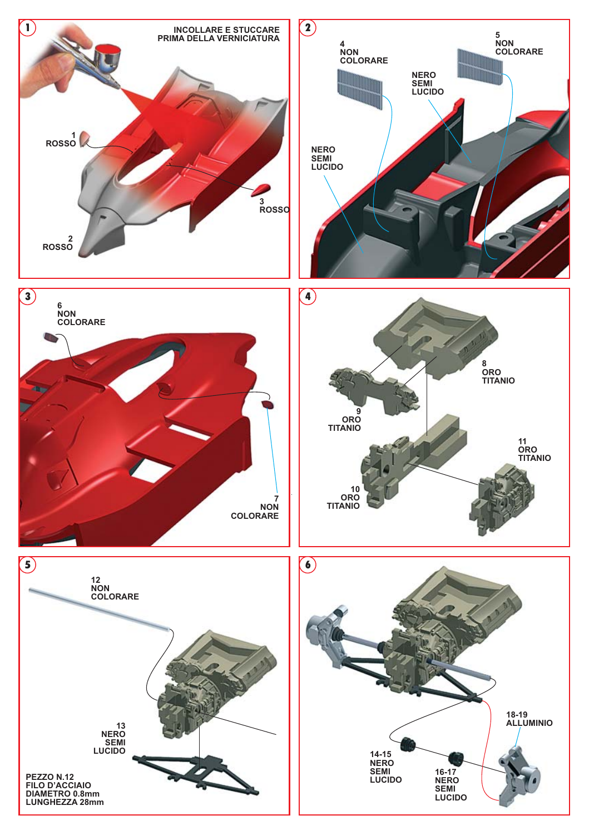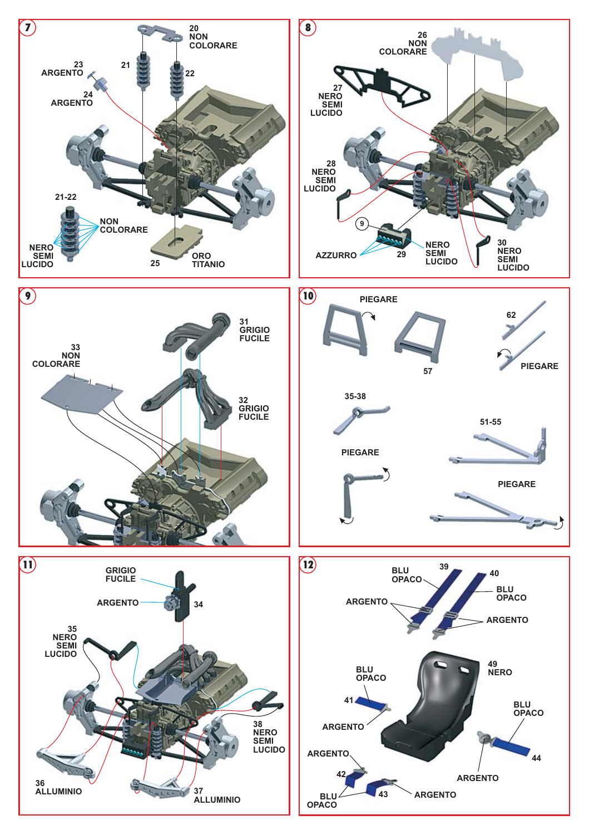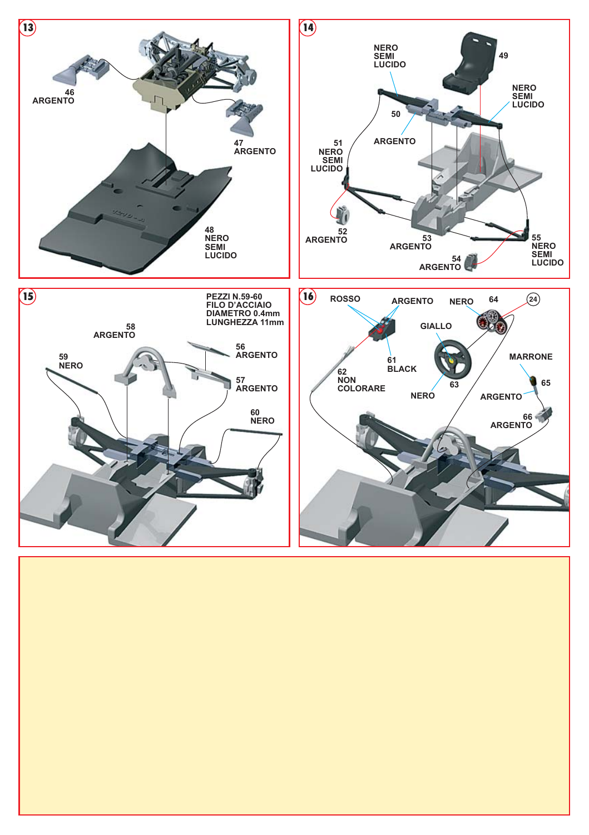

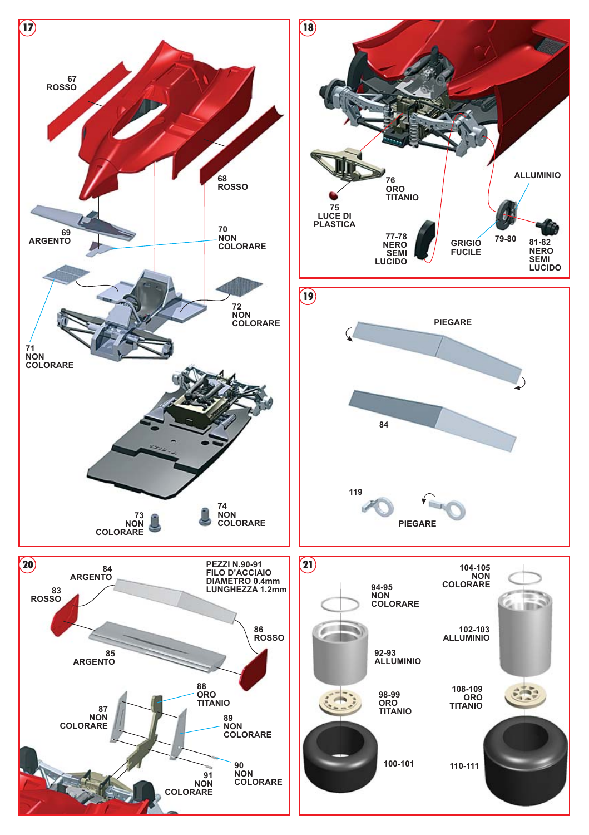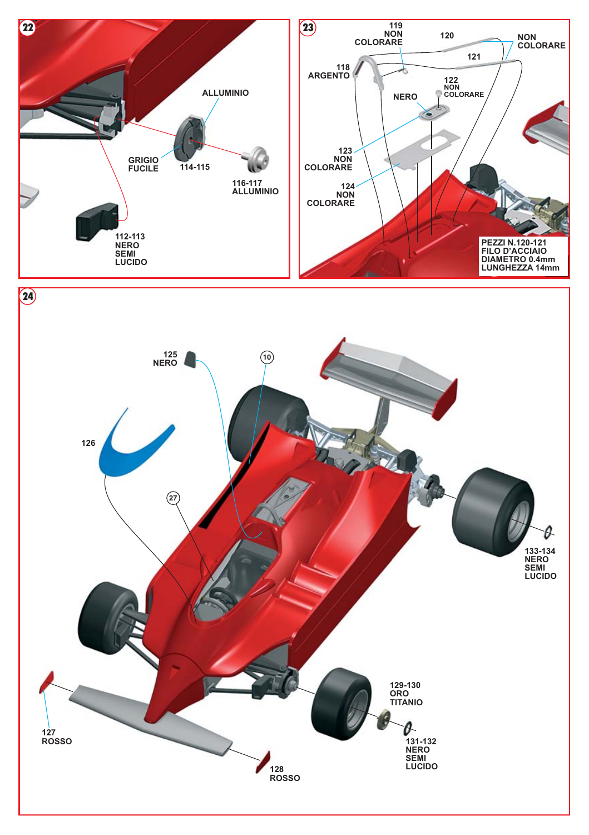